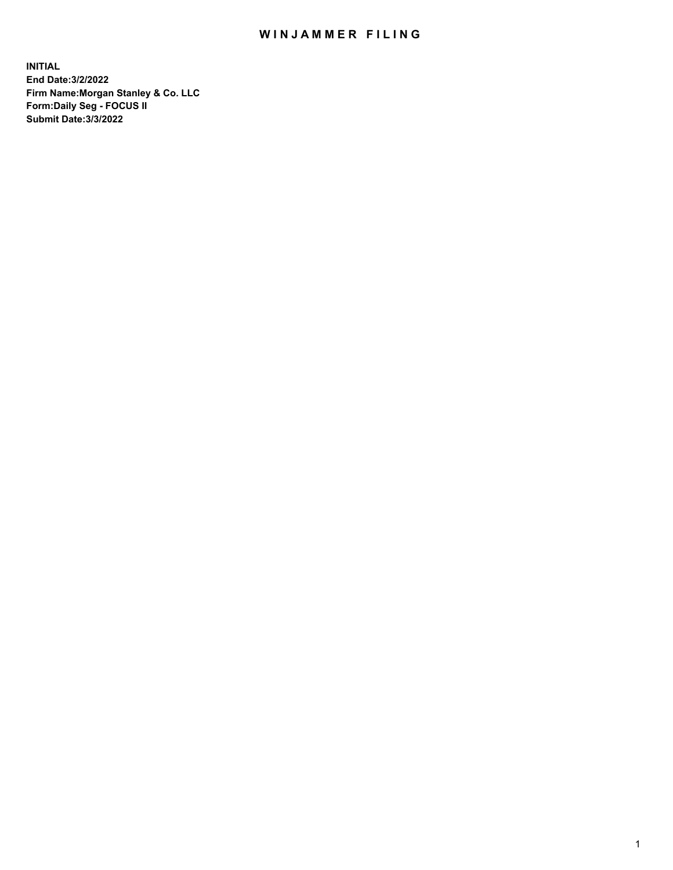## WIN JAMMER FILING

**INITIAL End Date:3/2/2022 Firm Name:Morgan Stanley & Co. LLC Form:Daily Seg - FOCUS II Submit Date:3/3/2022**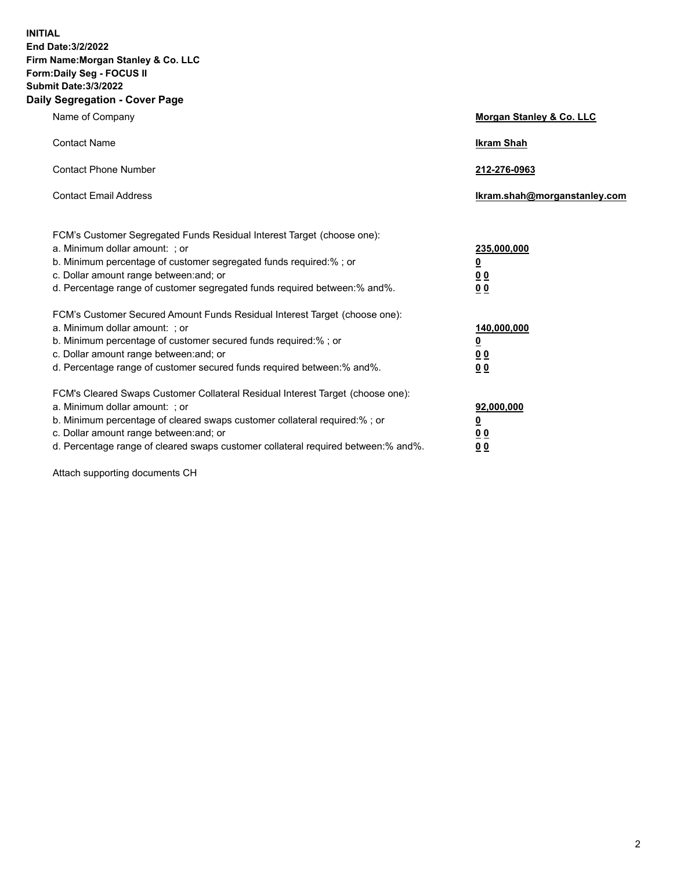**INITIAL End Date:3/2/2022 Firm Name:Morgan Stanley & Co. LLC Form:Daily Seg - FOCUS II Submit Date:3/3/2022 Daily Segregation - Cover Page**

| Name of Company                                                                                                                                                                                                                                                                                                               | Morgan Stanley & Co. LLC                                                     |
|-------------------------------------------------------------------------------------------------------------------------------------------------------------------------------------------------------------------------------------------------------------------------------------------------------------------------------|------------------------------------------------------------------------------|
| <b>Contact Name</b>                                                                                                                                                                                                                                                                                                           | <b>Ikram Shah</b>                                                            |
| <b>Contact Phone Number</b>                                                                                                                                                                                                                                                                                                   | 212-276-0963                                                                 |
| <b>Contact Email Address</b>                                                                                                                                                                                                                                                                                                  | Ikram.shah@morganstanley.com                                                 |
| FCM's Customer Segregated Funds Residual Interest Target (choose one):<br>a. Minimum dollar amount: ; or<br>b. Minimum percentage of customer segregated funds required:% ; or<br>c. Dollar amount range between: and; or<br>d. Percentage range of customer segregated funds required between: % and %.                      | 235,000,000<br><u>0</u><br><u>00</u><br>0 Q                                  |
| FCM's Customer Secured Amount Funds Residual Interest Target (choose one):<br>a. Minimum dollar amount: ; or<br>b. Minimum percentage of customer secured funds required:%; or<br>c. Dollar amount range between: and; or<br>d. Percentage range of customer secured funds required between:% and%.                           | 140,000,000<br><u>0</u><br>$\underline{0}$ $\underline{0}$<br>0 <sup>0</sup> |
| FCM's Cleared Swaps Customer Collateral Residual Interest Target (choose one):<br>a. Minimum dollar amount: ; or<br>b. Minimum percentage of cleared swaps customer collateral required:%; or<br>c. Dollar amount range between: and; or<br>d. Percentage range of cleared swaps customer collateral required between:% and%. | 92,000,000<br><u>0</u><br><u>00</u><br>00                                    |

Attach supporting documents CH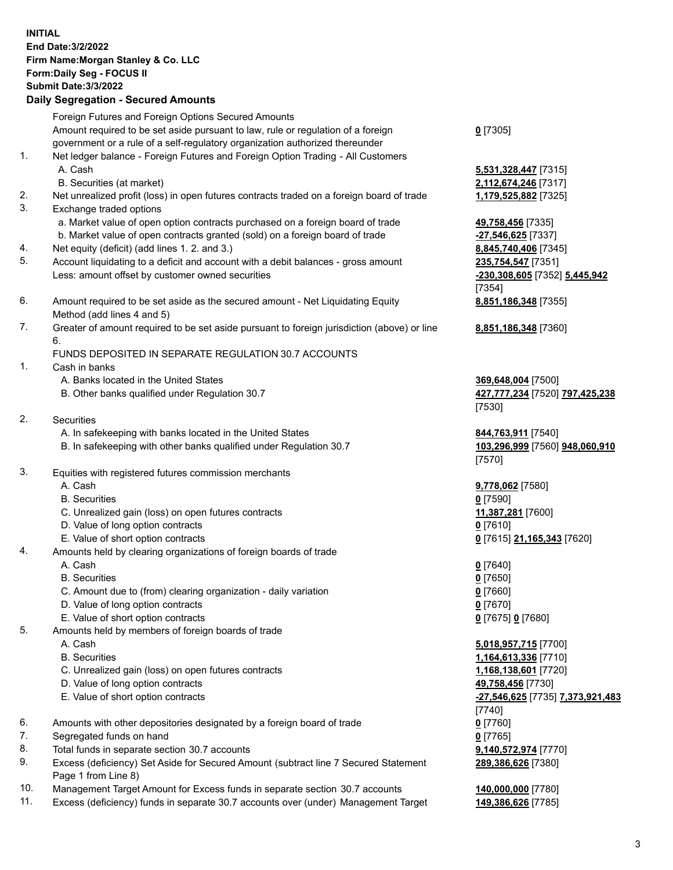|          | <b>INITIAL</b><br>End Date: 3/2/2022<br>Firm Name: Morgan Stanley & Co. LLC<br>Form: Daily Seg - FOCUS II<br><b>Submit Date: 3/3/2022</b><br><b>Daily Segregation - Secured Amounts</b> |                                                      |
|----------|-----------------------------------------------------------------------------------------------------------------------------------------------------------------------------------------|------------------------------------------------------|
|          | Foreign Futures and Foreign Options Secured Amounts                                                                                                                                     |                                                      |
|          | Amount required to be set aside pursuant to law, rule or regulation of a foreign<br>government or a rule of a self-regulatory organization authorized thereunder                        | $0$ [7305]                                           |
| 1.       | Net ledger balance - Foreign Futures and Foreign Option Trading - All Customers                                                                                                         |                                                      |
|          | A. Cash                                                                                                                                                                                 | 5,531,328,447 [7315]                                 |
|          | B. Securities (at market)                                                                                                                                                               | 2,112,674,246 [7317]                                 |
| 2.<br>3. | Net unrealized profit (loss) in open futures contracts traded on a foreign board of trade<br>Exchange traded options                                                                    | 1,179,525,882 [7325]                                 |
|          | a. Market value of open option contracts purchased on a foreign board of trade                                                                                                          | 49,758,456 [7335]                                    |
|          | b. Market value of open contracts granted (sold) on a foreign board of trade                                                                                                            | -27,546,625 [7337]                                   |
| 4.       | Net equity (deficit) (add lines 1. 2. and 3.)                                                                                                                                           | 8,845,740,406 [7345]                                 |
| 5.       | Account liquidating to a deficit and account with a debit balances - gross amount<br>Less: amount offset by customer owned securities                                                   | 235,754,547 [7351]<br>-230,308,605 [7352] 5,445,942  |
|          |                                                                                                                                                                                         | [7354]                                               |
| 6.       | Amount required to be set aside as the secured amount - Net Liquidating Equity<br>Method (add lines 4 and 5)                                                                            | 8,851,186,348 [7355]                                 |
| 7.       | Greater of amount required to be set aside pursuant to foreign jurisdiction (above) or line<br>6.                                                                                       | 8,851,186,348 [7360]                                 |
|          | FUNDS DEPOSITED IN SEPARATE REGULATION 30.7 ACCOUNTS                                                                                                                                    |                                                      |
| 1.       | Cash in banks                                                                                                                                                                           |                                                      |
|          | A. Banks located in the United States<br>B. Other banks qualified under Regulation 30.7                                                                                                 | 369,648,004 [7500]<br>427,777,234 [7520] 797,425,238 |
|          |                                                                                                                                                                                         | [7530]                                               |
| 2.       | Securities                                                                                                                                                                              |                                                      |
|          | A. In safekeeping with banks located in the United States                                                                                                                               | 844,763,911 [7540]                                   |
|          | B. In safekeeping with other banks qualified under Regulation 30.7                                                                                                                      | 103,296,999 [7560] 948,060,910<br>[7570]             |
| 3.       | Equities with registered futures commission merchants                                                                                                                                   |                                                      |
|          | A. Cash                                                                                                                                                                                 | 9,778,062 [7580]                                     |
|          | <b>B.</b> Securities                                                                                                                                                                    | $0$ [7590]                                           |
|          | C. Unrealized gain (loss) on open futures contracts                                                                                                                                     | 11,387,281 [7600]                                    |
|          | D. Value of long option contracts<br>E. Value of short option contracts                                                                                                                 | $0$ [7610]<br>0 [7615] 21,165,343 [7620]             |
| 4.       | Amounts held by clearing organizations of foreign boards of trade                                                                                                                       |                                                      |
|          | A. Cash                                                                                                                                                                                 | $0$ [7640]                                           |
|          | <b>B.</b> Securities                                                                                                                                                                    | $0$ [7650]                                           |
|          | C. Amount due to (from) clearing organization - daily variation                                                                                                                         | $0$ [7660]                                           |
|          | D. Value of long option contracts                                                                                                                                                       | $0$ [7670]                                           |
| 5.       | E. Value of short option contracts<br>Amounts held by members of foreign boards of trade                                                                                                | 0 [7675] 0 [7680]                                    |
|          | A. Cash                                                                                                                                                                                 | 5,018,957,715 [7700]                                 |
|          | <b>B.</b> Securities                                                                                                                                                                    | 1,164,613,336 [7710]                                 |
|          | C. Unrealized gain (loss) on open futures contracts                                                                                                                                     | 1,168,138,601 [7720]                                 |
|          | D. Value of long option contracts                                                                                                                                                       | 49,758,456 [7730]                                    |
|          | E. Value of short option contracts                                                                                                                                                      | -27,546,625 [7735] 7,373,921,483                     |
|          |                                                                                                                                                                                         | [7740]                                               |
| 6.<br>7. | Amounts with other depositories designated by a foreign board of trade<br>Segregated funds on hand                                                                                      | $0$ [7760]<br>$0$ [7765]                             |
| 8.       | Total funds in separate section 30.7 accounts                                                                                                                                           | 9,140,572,974 [7770]                                 |
| 9.       | Excess (deficiency) Set Aside for Secured Amount (subtract line 7 Secured Statement                                                                                                     | 289,386,626 [7380]                                   |

- Page 1 from Line 8) 10. Management Target Amount for Excess funds in separate section 30.7 accounts **140,000,000** [7780]
- 
- 11. Excess (deficiency) funds in separate 30.7 accounts over (under) Management Target **149,386,626** [7785]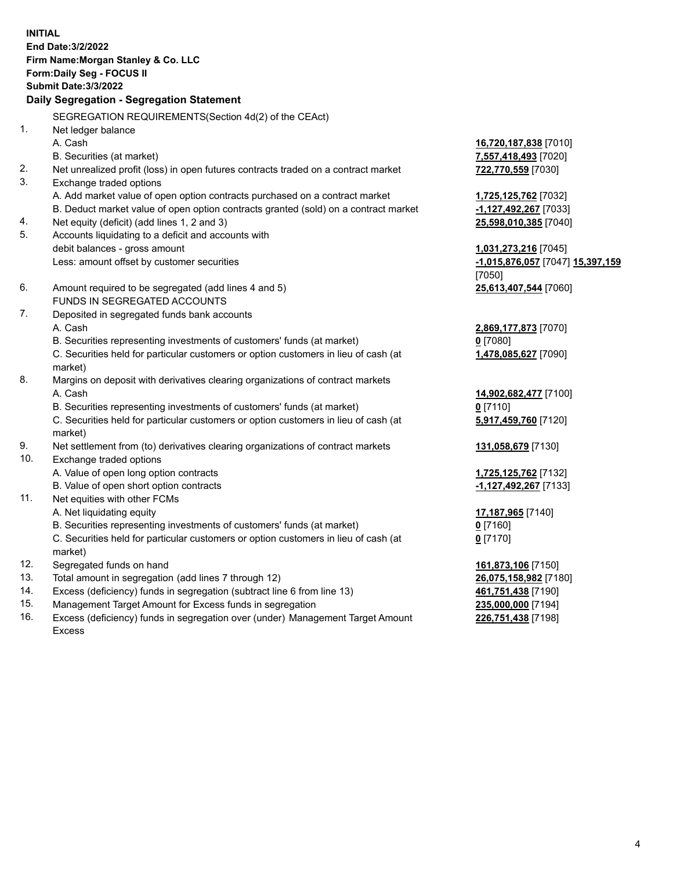**INITIAL End Date:3/2/2022 Firm Name:Morgan Stanley & Co. LLC Form:Daily Seg - FOCUS II Submit Date:3/3/2022 Daily Segregation - Segregation Statement** SEGREGATION REQUIREMENTS(Section 4d(2) of the CEAct) 1. Net ledger balance A. Cash **16,720,187,838** [7010] B. Securities (at market) **7,557,418,493** [7020] 2. Net unrealized profit (loss) in open futures contracts traded on a contract market **722,770,559** [7030] 3. Exchange traded options A. Add market value of open option contracts purchased on a contract market **1,725,125,762** [7032] B. Deduct market value of open option contracts granted (sold) on a contract market **-1,127,492,267** [7033] 4. Net equity (deficit) (add lines 1, 2 and 3) **25,598,010,385** [7040] 5. Accounts liquidating to a deficit and accounts with debit balances - gross amount **1,031,273,216** [7045] Less: amount offset by customer securities **-1,015,876,057** [7047] **15,397,159** [7050] 6. Amount required to be segregated (add lines 4 and 5) **25,613,407,544** [7060] FUNDS IN SEGREGATED ACCOUNTS 7. Deposited in segregated funds bank accounts A. Cash **2,869,177,873** [7070] B. Securities representing investments of customers' funds (at market) **0** [7080] C. Securities held for particular customers or option customers in lieu of cash (at market) **1,478,085,627** [7090] 8. Margins on deposit with derivatives clearing organizations of contract markets A. Cash **14,902,682,477** [7100] B. Securities representing investments of customers' funds (at market) **0** [7110] C. Securities held for particular customers or option customers in lieu of cash (at market) **5,917,459,760** [7120] 9. Net settlement from (to) derivatives clearing organizations of contract markets **131,058,679** [7130] 10. Exchange traded options A. Value of open long option contracts **1,725,125,762** [7132] B. Value of open short option contracts **-1,127,492,267** [7133] 11. Net equities with other FCMs A. Net liquidating equity **17,187,965** [7140] B. Securities representing investments of customers' funds (at market) **0** [7160] C. Securities held for particular customers or option customers in lieu of cash (at market) **0** [7170] 12. Segregated funds on hand **161,873,106** [7150] 13. Total amount in segregation (add lines 7 through 12) **26,075,158,982** [7180] 14. Excess (deficiency) funds in segregation (subtract line 6 from line 13) **461,751,438** [7190] 15. Management Target Amount for Excess funds in segregation **235,000,000** [7194]

16. Excess (deficiency) funds in segregation over (under) Management Target Amount Excess

**226,751,438** [7198]